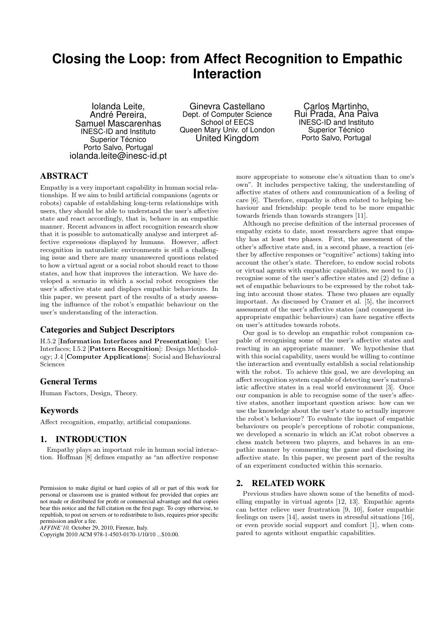# **Closing the Loop: from Affect Recognition to Empathic Interaction**

Iolanda Leite, André Pereira, Samuel Mascarenhas INESC-ID and Instituto Superior Técnico Porto Salvo, Portugal iolanda.leite@inesc-id.pt

Ginevra Castellano Dept. of Computer Science School of EECS Queen Mary Univ. of London United Kingdom

Carlos Martinho, Rui Prada, Ana Paiva INESC-ID and Instituto Superior Técnico Porto Salvo, Portugal

# ABSTRACT

Empathy is a very important capability in human social relationships. If we aim to build artificial companions (agents or robots) capable of establishing long-term relationships with users, they should be able to understand the user's affective state and react accordingly, that is, behave in an empathic manner. Recent advances in affect recognition research show that it is possible to automatically analyse and interpret affective expressions displayed by humans. However, affect recognition in naturalistic environments is still a challenging issue and there are many unanswered questions related to how a virtual agent or a social robot should react to those states, and how that improves the interaction. We have developed a scenario in which a social robot recognises the user's affective state and displays empathic behaviours. In this paper, we present part of the results of a study assessing the influence of the robot's empathic behaviour on the user's understanding of the interaction.

# Categories and Subject Descriptors

H.5.2 [**Information Interfaces and Presentation**]: User Interfaces; I.5.2 [**Pattern Recognition**]: Design Methodology; J.4 [**Computer Applications**]: Social and Behavioural Sciences

# General Terms

Human Factors, Design, Theory.

## Keywords

Affect recognition, empathy, artificial companions.

# 1. INTRODUCTION

Empathy plays an important role in human social interaction. Hoffman [8] defines empathy as "an affective response

*AFFINE'10,* October 29, 2010, Firenze, Italy.

Copyright 2010 ACM 978-1-4503-0170-1/10/10 ...\$10.00.

more appropriate to someone else's situation than to one's own". It includes perspective taking, the understanding of affective states of others and communication of a feeling of care [6]. Therefore, empathy is often related to helping behaviour and friendship: people tend to be more empathic towards friends than towards strangers [11].

Although no precise definition of the internal processes of empathy exists to date, most researchers agree that empathy has at least two phases. First, the assessment of the other's affective state and, in a second phase, a reaction (either by affective responses or "cognitive" actions) taking into account the other's state. Therefore, to endow social robots or virtual agents with empathic capabilities, we need to (1) recognise some of the user's affective states and (2) define a set of empathic behaviours to be expressed by the robot taking into account those states. These two phases are equally important. As discussed by Cramer et al. [5], the incorrect assessment of the user's affective states (and consequent inappropriate empathic behaviours) can have negative effects on user's attitudes towards robots.

Our goal is to develop an empathic robot companion capable of recognising some of the user's affective states and reacting in an appropriate manner. We hypothesise that with this social capability, users would be willing to continue the interaction and eventually establish a social relationship with the robot. To achieve this goal, we are developing an affect recognition system capable of detecting user's naturalistic affective states in a real world environment [3]. Once our companion is able to recognise some of the user's affective states, another important question arises: how can we use the knowledge about the user's state to actually improve the robot's behaviour? To evaluate the impact of empathic behaviours on people's perceptions of robotic companions, we developed a scenario in which an iCat robot observes a chess match between two players, and behaves in an empathic manner by commenting the game and disclosing its affective state. In this paper, we present part of the results of an experiment conducted within this scenario.

## 2. RELATED WORK

Previous studies have shown some of the benefits of modelling empathy in virtual agents [12, 13]. Empathic agents can better relieve user frustration [9, 10], foster empathic feelings on users [14], assist users in stressful situations [16], or even provide social support and comfort [1], when compared to agents without empathic capabilities.

Permission to make digital or hard copies of all or part of this work for personal or classroom use is granted without fee provided that copies are not made or distributed for profit or commercial advantage and that copies bear this notice and the full citation on the first page. To copy otherwise, to republish, to post on servers or to redistribute to lists, requires prior specific permission and/or a fee.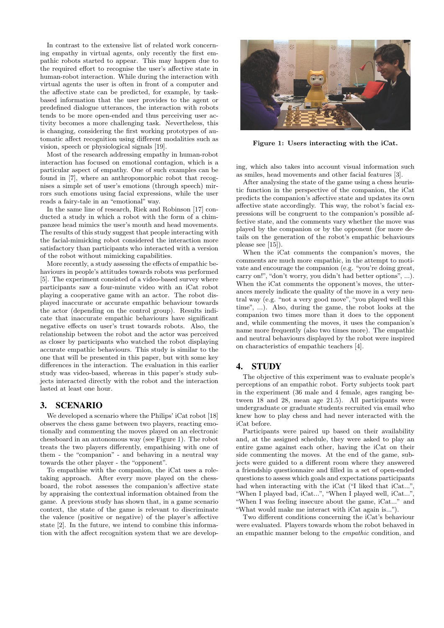In contrast to the extensive list of related work concerning empathy in virtual agents, only recently the first empathic robots started to appear. This may happen due to the required effort to recognise the user's affective state in human-robot interaction. While during the interaction with virtual agents the user is often in front of a computer and the affective state can be predicted, for example, by taskbased information that the user provides to the agent or predefined dialogue utterances, the interaction with robots tends to be more open-ended and thus perceiving user activity becomes a more challenging task. Nevertheless, this is changing, considering the first working prototypes of automatic affect recognition using different modalities such as vision, speech or physiological signals [19].

Most of the research addressing empathy in human-robot interaction has focused on emotional contagion, which is a particular aspect of empathy. One of such examples can be found in [7], where an anthropomorphic robot that recognises a simple set of user's emotions (through speech) mirrors such emotions using facial expressions, while the user reads a fairy-tale in an "emotional" way.

In the same line of research, Riek and Robinson [17] conducted a study in which a robot with the form of a chimpanzee head mimics the user's mouth and head movements. The results of this study suggest that people interacting with the facial-mimicking robot considered the interaction more satisfactory than participants who interacted with a version of the robot without mimicking capabilities.

More recently, a study assessing the effects of empathic behaviours in people's attitudes towards robots was performed [5]. The experiment consisted of a video-based survey where participants saw a four-minute video with an iCat robot playing a cooperative game with an actor. The robot displayed inaccurate or accurate empathic behaviour towards the actor (depending on the control group). Results indicate that inaccurate empathic behaviours have significant negative effects on user's trust towards robots. Also, the relationship between the robot and the actor was perceived as closer by participants who watched the robot displaying accurate empathic behaviours. This study is similar to the one that will be presented in this paper, but with some key differences in the interaction. The evaluation in this earlier study was video-based, whereas in this paper's study subjects interacted directly with the robot and the interaction lasted at least one hour.

## 3. SCENARIO

We developed a scenario where the Philips' iCat robot [18] observes the chess game between two players, reacting emotionally and commenting the moves played on an electronic chessboard in an autonomous way (see Figure 1). The robot treats the two players differently, empathising with one of them - the "companion" - and behaving in a neutral way towards the other player - the "opponent".

To empathise with the companion, the iCat uses a roletaking approach. After every move played on the chessboard, the robot assesses the companion's affective state by appraising the contextual information obtained from the game. A previous study has shown that, in a game scenario context, the state of the game is relevant to discriminate the valence (positive or negative) of the player's affective state [2]. In the future, we intend to combine this information with the affect recognition system that we are develop-



**Figure 1: Users interacting with the iCat.**

ing, which also takes into account visual information such as smiles, head movements and other facial features [3].

After analysing the state of the game using a chess heuristic function in the perspective of the companion, the iCat predicts the companion's affective state and updates its own affective state accordingly. This way, the robot's facial expressions will be congruent to the companion's possible affective state, and the comments vary whether the move was played by the companion or by the opponent (for more details on the generation of the robot's empathic behaviours please see [15]).

When the iCat comments the companion's moves, the comments are much more empathic, in the attempt to motivate and encourage the companion (e.g. "you're doing great, carry on!", "don't worry, you didn't had better options", ...). When the iCat comments the opponent's moves, the utterances merely indicate the quality of the move in a very neutral way (e.g. "not a very good move", "you played well this time", ...). Also, during the game, the robot looks at the companion two times more than it does to the opponent and, while commenting the moves, it uses the companion's name more frequently (also two times more). The empathic and neutral behaviours displayed by the robot were inspired on characteristics of empathic teachers [4].

# 4. STUDY

The objective of this experiment was to evaluate people's perceptions of an empathic robot. Forty subjects took part in the experiment (36 male and 4 female, ages ranging between 18 and 28, mean age 21.5). All participants were undergraduate or graduate students recruited via email who knew how to play chess and had never interacted with the iCat before.

Participants were paired up based on their availability and, at the assigned schedule, they were asked to play an entire game against each other, having the iCat on their side commenting the moves. At the end of the game, subjects were guided to a different room where they answered a friendship questionnaire and filled in a set of open-ended questions to assess which goals and expectations participants had when interacting with the iCat ("I liked that iCat...", "When I played bad, iCat...", "When I played well, iCat...", "When I was feeling insecure about the game, iCat..." and "What would make me interact with iCat again is...").

Two different conditions concerning the iCat's behaviour were evaluated. Players towards whom the robot behaved in an empathic manner belong to the *empathic* condition, and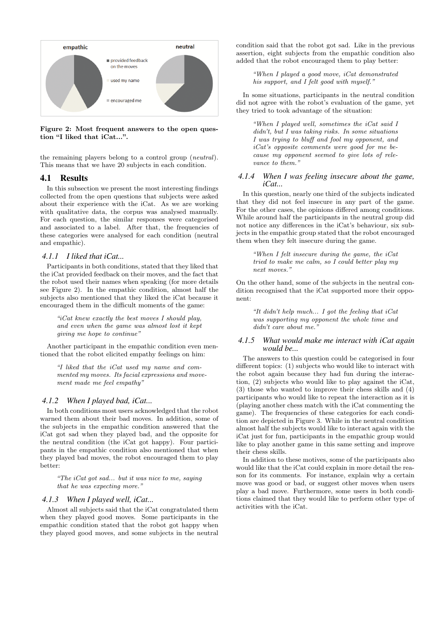

**Figure 2: Most frequent answers to the open question "I liked that iCat...".**

the remaining players belong to a control group (*neutral* ). This means that we have 20 subjects in each condition.

## 4.1 Results

In this subsection we present the most interesting findings collected from the open questions that subjects were asked about their experience with the iCat. As we are working with qualitative data, the corpus was analysed manually. For each question, the similar responses were categorised and associated to a label. After that, the frequencies of these categories were analysed for each condition (neutral and empathic).

#### *4.1.1 I liked that iCat...*

Participants in both conditions, stated that they liked that the iCat provided feedback on their moves, and the fact that the robot used their names when speaking (for more details see Figure 2). In the empathic condition, almost half the subjects also mentioned that they liked the iCat because it encouraged them in the difficult moments of the game:

*"iCat knew exactly the best moves I should play, and even when the game was almost lost it kept giving me hope to continue"*

Another participant in the empathic condition even mentioned that the robot elicited empathy feelings on him:

*"I liked that the iCat used my name and commented my moves. Its facial expressions and movement made me feel empathy"*

#### *4.1.2 When I played bad, iCat...*

In both conditions most users acknowledged that the robot warned them about their bad moves. In addition, some of the subjects in the empathic condition answered that the iCat got sad when they played bad, and the opposite for the neutral condition (the iCat got happy). Four participants in the empathic condition also mentioned that when they played bad moves, the robot encouraged them to play better:

*"The iCat got sad... but it was nice to me, saying that he was expecting more."*

#### *4.1.3 When I played well, iCat...*

Almost all subjects said that the iCat congratulated them when they played good moves. Some participants in the empathic condition stated that the robot got happy when they played good moves, and some subjects in the neutral

condition said that the robot got sad. Like in the previous assertion, eight subjects from the empathic condition also added that the robot encouraged them to play better:

*"When I played a good move, iCat demonstrated his support, and I felt good with myself."*

In some situations, participants in the neutral condition did not agree with the robot's evaluation of the game, yet they tried to took advantage of the situation:

*"When I played well, sometimes the iCat said I didn't, but I was taking risks. In some situations I was trying to bluff and fool my opponent, and iCat's opposite comments were good for me because my opponent seemed to give lots of relevance to them."*

### *4.1.4 When I was feeling insecure about the game, iCat...*

In this question, nearly one third of the subjects indicated that they did not feel insecure in any part of the game. For the other cases, the opinions differed among conditions. While around half the participants in the neutral group did not notice any differences in the iCat's behaviour, six subjects in the empathic group stated that the robot encouraged them when they felt insecure during the game.

*"When I felt insecure during the game, the iCat tried to make me calm, so I could better play my next moves."*

On the other hand, some of the subjects in the neutral condition recognised that the iCat supported more their opponent:

*"It didn't help much... I got the feeling that iCat was supporting my opponent the whole time and didn't care about me."*

#### *4.1.5 What would make me interact with iCat again would be...*

The answers to this question could be categorised in four different topics: (1) subjects who would like to interact with the robot again because they had fun during the interaction, (2) subjects who would like to play against the iCat, (3) those who wanted to improve their chess skills and (4) participants who would like to repeat the interaction as it is (playing another chess match with the iCat commenting the game). The frequencies of these categories for each condition are depicted in Figure 3. While in the neutral condition almost half the subjects would like to interact again with the iCat just for fun, participants in the empathic group would like to play another game in this same setting and improve their chess skills.

In addition to these motives, some of the participants also would like that the iCat could explain in more detail the reason for its comments. For instance, explain why a certain move was good or bad, or suggest other moves when users play a bad move. Furthermore, some users in both conditions claimed that they would like to perform other type of activities with the iCat.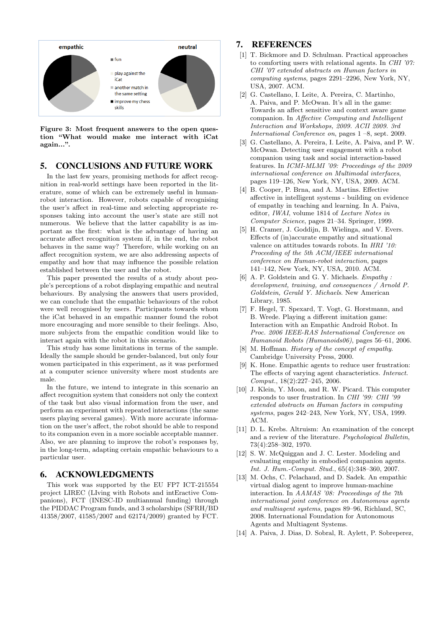

**Figure 3: Most frequent answers to the open question "What would make me interact with iCat again...".**

## 5. CONCLUSIONS AND FUTURE WORK

In the last few years, promising methods for affect recognition in real-world settings have been reported in the literature, some of which can be extremely useful in humanrobot interaction. However, robots capable of recognising the user's affect in real-time and selecting appropriate responses taking into account the user's state are still not numerous. We believe that the latter capability is as important as the first: what is the advantage of having an accurate affect recognition system if, in the end, the robot behaves in the same way? Therefore, while working on an affect recognition system, we are also addressing aspects of empathy and how that may influence the possible relation established between the user and the robot.

This paper presented the results of a study about people's perceptions of a robot displaying empathic and neutral behaviours. By analysing the answers that users provided, we can conclude that the empathic behaviours of the robot were well recognised by users. Participants towards whom the iCat behaved in an empathic manner found the robot more encouraging and more sensible to their feelings. Also, more subjects from the empathic condition would like to interact again with the robot in this scenario.

This study has some limitations in terms of the sample. Ideally the sample should be gender-balanced, but only four women participated in this experiment, as it was performed at a computer science university where most students are male.

In the future, we intend to integrate in this scenario an affect recognition system that considers not only the context of the task but also visual information from the user, and perform an experiment with repeated interactions (the same users playing several games). With more accurate information on the user's affect, the robot should be able to respond to its companion even in a more sociable acceptable manner. Also, we are planning to improve the robot's responses by, in the long-term, adapting certain empathic behaviours to a particular user.

### 6. ACKNOWLEDGMENTS

This work was supported by the EU FP7 ICT-215554 project LIREC (LIving with Robots and intEractive Companions), FCT (INESC-ID multiannual funding) through the PIDDAC Program funds, and 3 scholarships (SFRH/BD 41358/2007, 41585/2007 and 62174/2009) granted by FCT.

# 7. REFERENCES

- [1] T. Bickmore and D. Schulman. Practical approaches to comforting users with relational agents. In *CHI '07: CHI '07 extended abstracts on Human factors in computing systems*, pages 2291–2296, New York, NY, USA, 2007. ACM.
- [2] G. Castellano, I. Leite, A. Pereira, C. Martinho, A. Paiva, and P. McOwan. It's all in the game: Towards an affect sensitive and context aware game companion. In *Affective Computing and Intelligent Interaction and Workshops, 2009. ACII 2009. 3rd International Conference on*, pages 1 –8, sept. 2009.
- [3] G. Castellano, A. Pereira, I. Leite, A. Paiva, and P. W. McOwan. Detecting user engagement with a robot companion using task and social interaction-based features. In *ICMI-MLMI '09: Proceedings of the 2009 international conference on Multimodal interfaces*, pages 119–126, New York, NY, USA, 2009. ACM.
- [4] B. Cooper, P. Brna, and A. Martins. Effective affective in intelligent systems - building on evidence of empathy in teaching and learning. In A. Paiva, editor, *IWAI*, volume 1814 of *Lecture Notes in Computer Science*, pages 21–34. Springer, 1999.
- [5] H. Cramer, J. Goddijn, B. Wielinga, and V. Evers. Effects of (in)accurate empathy and situational valence on attitudes towards robots. In *HRI '10: Proceeding of the 5th ACM/IEEE international conference on Human-robot interaction*, pages 141–142, New York, NY, USA, 2010. ACM.
- [6] A. P. Goldstein and G. Y. Michaels. *Empathy : development, training, and consequences / Arnold P. Goldstein, Gerald Y. Michaels*. New American Library, 1985.
- [7] F. Hegel, T. Spexard, T. Vogt, G. Horstmann, and B. Wrede. Playing a different imitation game: Interaction with an Empathic Android Robot. In *Proc. 2006 IEEE-RAS International Conference on Humanoid Robots (Humanoids06)*, pages 56–61, 2006.
- [8] M. Hoffman. *History of the concept of empathy*. Cambridge University Press, 2000.
- [9] K. Hone. Empathic agents to reduce user frustration: The effects of varying agent characteristics. *Interact. Comput.*, 18(2):227–245, 2006.
- [10] J. Klein, Y. Moon, and R. W. Picard. This computer responds to user frustration. In *CHI '99: CHI '99 extended abstracts on Human factors in computing systems*, pages 242–243, New York, NY, USA, 1999. ACM.
- [11] D. L. Krebs. Altruism: An examination of the concept and a review of the literature. *Psychological Bulletin*, 73(4):258–302, 1970.
- [12] S. W. McQuiggan and J. C. Lester. Modeling and evaluating empathy in embodied companion agents. *Int. J. Hum.-Comput. Stud.*, 65(4):348–360, 2007.
- [13] M. Ochs, C. Pelachaud, and D. Sadek. An empathic virtual dialog agent to improve human-machine interaction. In *AAMAS '08: Proceedings of the 7th international joint conference on Autonomous agents and multiagent systems*, pages 89–96, Richland, SC, 2008. International Foundation for Autonomous Agents and Multiagent Systems.
- [14] A. Paiva, J. Dias, D. Sobral, R. Aylett, P. Sobreperez,